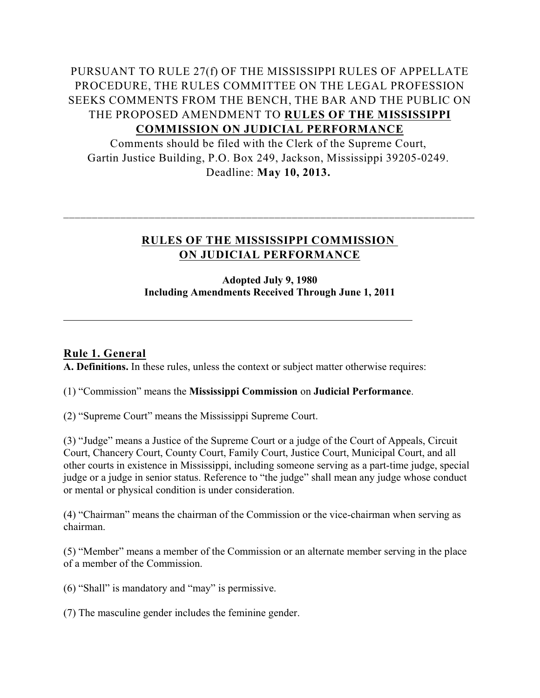# PURSUANT TO RULE 27(f) OF THE MISSISSIPPI RULES OF APPELLATE PROCEDURE, THE RULES COMMITTEE ON THE LEGAL PROFESSION SEEKS COMMENTS FROM THE BENCH, THE BAR AND THE PUBLIC ON THE PROPOSED AMENDMENT TO **RULES OF THE MISSISSIPPI COMMISSION ON JUDICIAL PERFORMANCE**

Comments should be filed with the Clerk of the Supreme Court, Gartin Justice Building, P.O. Box 249, Jackson, Mississippi 39205-0249. Deadline: **May 10, 2013.** 

# **RULES OF THE MISSISSIPPI COMMISSION ON JUDICIAL PERFORMANCE**

\_\_\_\_\_\_\_\_\_\_\_\_\_\_\_\_\_\_\_\_\_\_\_\_\_\_\_\_\_\_\_\_\_\_\_\_\_\_\_\_\_\_\_\_\_\_\_\_\_\_\_\_\_\_\_\_\_\_\_\_\_\_\_\_\_\_\_\_\_\_\_\_

## **Adopted July 9, 1980 Including Amendments Received Through June 1, 2011**

# **Rule 1. General**

**A. Definitions.** In these rules, unless the context or subject matter otherwise requires:

## (1) "Commission" means the **Mississippi Commission** on **Judicial Performance**.

(2) "Supreme Court" means the Mississippi Supreme Court.

(3) "Judge" means a Justice of the Supreme Court or a judge of the Court of Appeals, Circuit Court, Chancery Court, County Court, Family Court, Justice Court, Municipal Court, and all other courts in existence in Mississippi, including someone serving as a part-time judge, special judge or a judge in senior status. Reference to "the judge" shall mean any judge whose conduct or mental or physical condition is under consideration.

(4) "Chairman" means the chairman of the Commission or the vice-chairman when serving as chairman.

(5) "Member" means a member of the Commission or an alternate member serving in the place of a member of the Commission.

(6) "Shall" is mandatory and "may" is permissive.

(7) The masculine gender includes the feminine gender.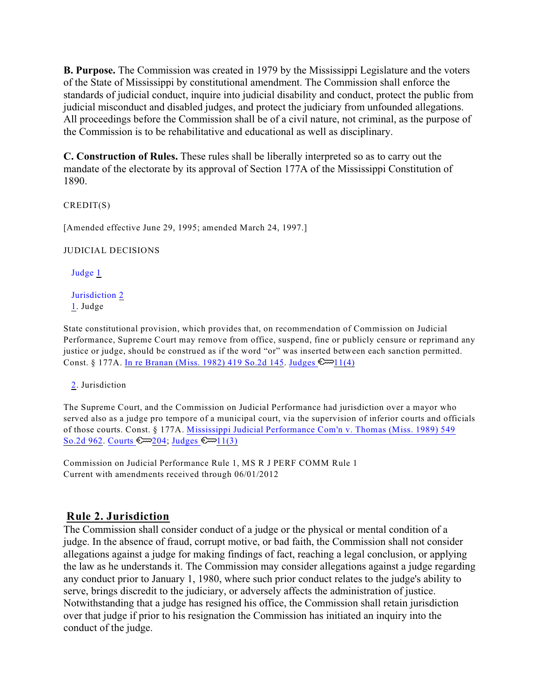**B. Purpose.** The Commission was created in 1979 by the Mississippi Legislature and the voters of the State of Mississippi by constitutional amendment. The Commission shall enforce the standards of judicial conduct, inquire into judicial disability and conduct, protect the public from judicial misconduct and disabled judges, and protect the judiciary from unfounded allegations. All proceedings before the Commission shall be of a civil nature, not criminal, as the purpose of the Commission is to be rehabilitative and educational as well as disciplinary.

**C. Construction of Rules.** These rules shall be liberally interpreted so as to carry out the mandate of the electorate by its approval of Section 177A of the Mississippi Constitution of 1890.

CREDIT(S)

[Amended effective June 29, 1995; amended March 24, 1997.]

JUDICIAL DECISIONS

<span id="page-1-2"></span>Judge [1](#page-1-0)

<span id="page-1-3"></span>Jurisdiction [2](#page-1-1) [1](#page-1-2). Judge

<span id="page-1-0"></span>State constitutional provision, which provides that, on recommendation of Commission on Judicial Performance, Supreme Court may remove from office, suspend, fine or publicly censure or reprimand any justice or judge, should be construed as if the word "or" was inserted between each sanction permitted. Const. § 177A. [In re Branan \(Miss. 1982\) 419 So.2d 145](http://www.westlaw.com/Find/Default.wl?rs=dfa1.0&vr=2.0&DB=0000735&FindType=Y&SerialNum=1982136603). Judges  $\mathbb{C}$  11(4)

[2](#page-1-3). Jurisdiction

<span id="page-1-1"></span>The Supreme Court, and the Commission on Judicial Performance had jurisdiction over a mayor who served also as a judge pro tempore of a municipal court, via the supervision of inferior courts and officials of those courts. Const. § 177A. [Mississippi Judicial Performance Com'n v. Thomas \(Miss. 1989\) 549](http://www.westlaw.com/Find/Default.wl?rs=dfa1.0&vr=2.0&DB=0000735&FindType=Y&SerialNum=1989143127) [So.2d 962](http://www.westlaw.com/Find/Default.wl?rs=dfa1.0&vr=2.0&DB=0000735&FindType=Y&SerialNum=1989143127). Courts  $\mathbb{Z}204$ ; Judges  $\mathbb{Z}11(3)$ 

Commission on Judicial Performance Rule 1, MS R J PERF COMM Rule 1 Current with amendments received through 06/01/2012

# **Rule 2. Jurisdiction**

The Commission shall consider conduct of a judge or the physical or mental condition of a judge. In the absence of fraud, corrupt motive, or bad faith, the Commission shall not consider allegations against a judge for making findings of fact, reaching a legal conclusion, or applying the law as he understands it. The Commission may consider allegations against a judge regarding any conduct prior to January 1, 1980, where such prior conduct relates to the judge's ability to serve, brings discredit to the judiciary, or adversely affects the administration of justice. Notwithstanding that a judge has resigned his office, the Commission shall retain jurisdiction over that judge if prior to his resignation the Commission has initiated an inquiry into the conduct of the judge.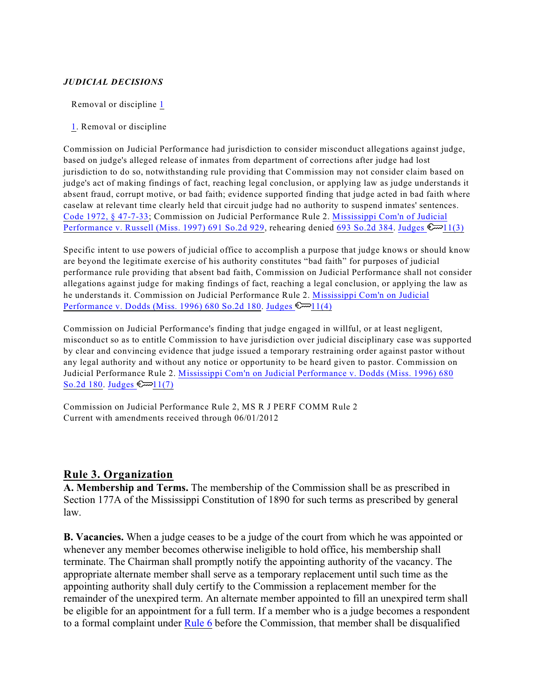### *JUDICIAL DECISIONS*

<span id="page-2-1"></span>Removal or discipline [1](#page-2-0)

[1](#page-2-1). Removal or discipline

<span id="page-2-0"></span>Commission on Judicial Performance had jurisdiction to consider misconduct allegations against judge, based on judge's alleged release of inmates from department of corrections after judge had lost jurisdiction to do so, notwithstanding rule providing that Commission may not consider claim based on judge's act of making findings of fact, reaching legal conclusion, or applying law as judge understands it absent fraud, corrupt motive, or bad faith; evidence supported finding that judge acted in bad faith where caselaw at relevant time clearly held that circuit judge had no authority to suspend inmates' sentences. [Code 1972, § 47-7-33](http://www.westlaw.com/Find/Default.wl?rs=dfa1.0&vr=2.0&DB=1000933&DocName=MSSTS47-7-33&FindType=L); Commission on Judicial Performance Rule 2. [Mississippi Com'n of Judicial](http://www.westlaw.com/Find/Default.wl?rs=dfa1.0&vr=2.0&DB=0000735&FindType=Y&SerialNum=1997047496) [Performance v. Russell \(Miss. 1997\) 691 So.2d 929](http://www.westlaw.com/Find/Default.wl?rs=dfa1.0&vr=2.0&DB=0000735&FindType=Y&SerialNum=1997047496), rehearing denied [693 So.2d 384](http://www.westlaw.com/Find/Default.wl?rs=dfa1.0&vr=2.0&DB=0000735&FindType=Y&SerialNum=1997096465). Judges  $\mathbb{S}$  11(3)

Specific intent to use powers of judicial office to accomplish a purpose that judge knows or should know are beyond the legitimate exercise of his authority constitutes "bad faith" for purposes of judicial performance rule providing that absent bad faith, Commission on Judicial Performance shall not consider allegations against judge for making findings of fact, reaching a legal conclusion, or applying the law as he understands it. Commission on Judicial Performance Rule 2. [Mississippi Com'n on Judicial](http://www.westlaw.com/Find/Default.wl?rs=dfa1.0&vr=2.0&DB=0000735&FindType=Y&SerialNum=1996180297) [Performance v. Dodds \(Miss. 1996\) 680 So.2d 180](http://www.westlaw.com/Find/Default.wl?rs=dfa1.0&vr=2.0&DB=0000735&FindType=Y&SerialNum=1996180297). Judges  $\mathbb{C}$  11(4)

Commission on Judicial Performance's finding that judge engaged in willful, or at least negligent, misconduct so as to entitle Commission to have jurisdiction over judicial disciplinary case was supported by clear and convincing evidence that judge issued a temporary restraining order against pastor without any legal authority and without any notice or opportunity to be heard given to pastor. Commission on Judicial Performance Rule 2. [Mississippi Com'n on Judicial Performance v. Dodds \(Miss. 1996\) 680](http://www.westlaw.com/Find/Default.wl?rs=dfa1.0&vr=2.0&DB=0000735&FindType=Y&SerialNum=1996180297) [So.2d 180](http://www.westlaw.com/Find/Default.wl?rs=dfa1.0&vr=2.0&DB=0000735&FindType=Y&SerialNum=1996180297). Judges  $\mathbb{S}$  11(7)

Commission on Judicial Performance Rule 2, MS R J PERF COMM Rule 2 Current with amendments received through 06/01/2012

## **Rule 3. Organization**

**A. Membership and Terms.** The membership of the Commission shall be as prescribed in Section 177A of the Mississippi Constitution of 1890 for such terms as prescribed by general law.

**B. Vacancies.** When a judge ceases to be a judge of the court from which he was appointed or whenever any member becomes otherwise ineligible to hold office, his membership shall terminate. The Chairman shall promptly notify the appointing authority of the vacancy. The appropriate alternate member shall serve as a temporary replacement until such time as the appointing authority shall duly certify to the Commission a replacement member for the remainder of the unexpired term. An alternate member appointed to fill an unexpired term shall be eligible for an appointment for a full term. If a member who is a judge becomes a respondent to a formal complaint under [Rule 6](http://www.westlaw.com/Find/Default.wl?rs=dfa1.0&vr=2.0&DB=1008412&DocName=MSRPERFR6&FindType=L) before the Commission, that member shall be disqualified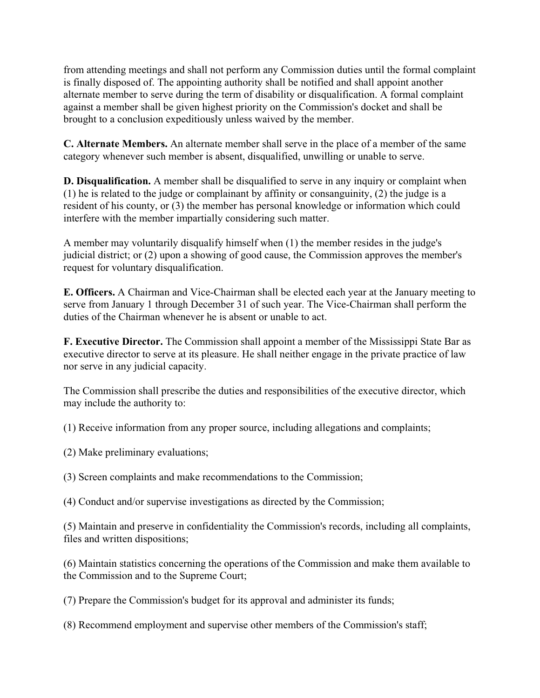from attending meetings and shall not perform any Commission duties until the formal complaint is finally disposed of. The appointing authority shall be notified and shall appoint another alternate member to serve during the term of disability or disqualification. A formal complaint against a member shall be given highest priority on the Commission's docket and shall be brought to a conclusion expeditiously unless waived by the member.

**C. Alternate Members.** An alternate member shall serve in the place of a member of the same category whenever such member is absent, disqualified, unwilling or unable to serve.

**D. Disqualification.** A member shall be disqualified to serve in any inquiry or complaint when (1) he is related to the judge or complainant by affinity or consanguinity, (2) the judge is a resident of his county, or (3) the member has personal knowledge or information which could interfere with the member impartially considering such matter.

A member may voluntarily disqualify himself when (1) the member resides in the judge's judicial district; or (2) upon a showing of good cause, the Commission approves the member's request for voluntary disqualification.

**E. Officers.** A Chairman and Vice-Chairman shall be elected each year at the January meeting to serve from January 1 through December 31 of such year. The Vice-Chairman shall perform the duties of the Chairman whenever he is absent or unable to act.

**F. Executive Director.** The Commission shall appoint a member of the Mississippi State Bar as executive director to serve at its pleasure. He shall neither engage in the private practice of law nor serve in any judicial capacity.

The Commission shall prescribe the duties and responsibilities of the executive director, which may include the authority to:

(1) Receive information from any proper source, including allegations and complaints;

- (2) Make preliminary evaluations;
- (3) Screen complaints and make recommendations to the Commission;
- (4) Conduct and/or supervise investigations as directed by the Commission;

(5) Maintain and preserve in confidentiality the Commission's records, including all complaints, files and written dispositions;

(6) Maintain statistics concerning the operations of the Commission and make them available to the Commission and to the Supreme Court;

(7) Prepare the Commission's budget for its approval and administer its funds;

(8) Recommend employment and supervise other members of the Commission's staff;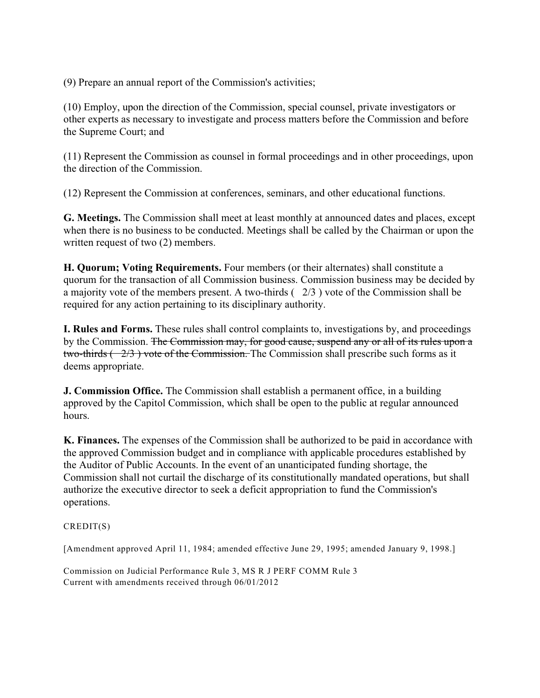(9) Prepare an annual report of the Commission's activities;

(10) Employ, upon the direction of the Commission, special counsel, private investigators or other experts as necessary to investigate and process matters before the Commission and before the Supreme Court; and

(11) Represent the Commission as counsel in formal proceedings and in other proceedings, upon the direction of the Commission.

(12) Represent the Commission at conferences, seminars, and other educational functions.

**G. Meetings.** The Commission shall meet at least monthly at announced dates and places, except when there is no business to be conducted. Meetings shall be called by the Chairman or upon the written request of two (2) members.

**H. Quorum; Voting Requirements.** Four members (or their alternates) shall constitute a quorum for the transaction of all Commission business. Commission business may be decided by a majority vote of the members present. A two-thirds ( 2/3 ) vote of the Commission shall be required for any action pertaining to its disciplinary authority.

**I. Rules and Forms.** These rules shall control complaints to, investigations by, and proceedings by the Commission. The Commission may, for good cause, suspend any or all of its rules upon a two-thirds  $(-2/3)$  vote of the Commission. The Commission shall prescribe such forms as it deems appropriate.

**J. Commission Office.** The Commission shall establish a permanent office, in a building approved by the Capitol Commission, which shall be open to the public at regular announced hours.

**K. Finances.** The expenses of the Commission shall be authorized to be paid in accordance with the approved Commission budget and in compliance with applicable procedures established by the Auditor of Public Accounts. In the event of an unanticipated funding shortage, the Commission shall not curtail the discharge of its constitutionally mandated operations, but shall authorize the executive director to seek a deficit appropriation to fund the Commission's operations.

### CREDIT(S)

[Amendment approved April 11, 1984; amended effective June 29, 1995; amended January 9, 1998.]

Commission on Judicial Performance Rule 3, MS R J PERF COMM Rule 3 Current with amendments received through 06/01/2012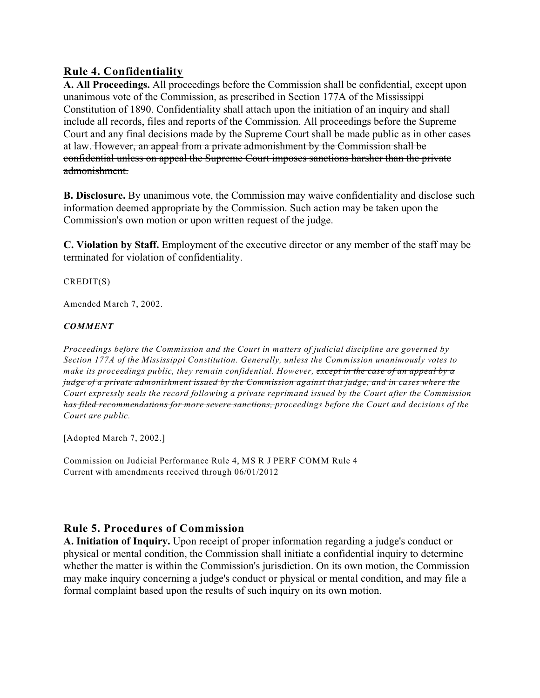# **Rule 4. Confidentiality**

**A. All Proceedings.** All proceedings before the Commission shall be confidential, except upon unanimous vote of the Commission, as prescribed in Section 177A of the Mississippi Constitution of 1890. Confidentiality shall attach upon the initiation of an inquiry and shall include all records, files and reports of the Commission. All proceedings before the Supreme Court and any final decisions made by the Supreme Court shall be made public as in other cases at law. However, an appeal from a private admonishment by the Commission shall be confidential unless on appeal the Supreme Court imposes sanctions harsher than the private admonishment.

**B. Disclosure.** By unanimous vote, the Commission may waive confidentiality and disclose such information deemed appropriate by the Commission. Such action may be taken upon the Commission's own motion or upon written request of the judge.

**C. Violation by Staff.** Employment of the executive director or any member of the staff may be terminated for violation of confidentiality.

CREDIT(S)

Amended March 7, 2002.

## *COMMENT*

*Proceedings before the Commission and the Court in matters of judicial discipline are governed by Section 177A of the Mississippi Constitution. Generally, unless the Commission unanimously votes to make its proceedings public, they remain confidential. However, except in the case of an appeal by a judge of a private admonishment issued by the Commission against that judge, and in cases where the Court expressly seals the record following a private reprimand issued by the Court after the Commission has filed recommendations for more severe sanctions, proceedings before the Court and decisions of the Court are public.*

[Adopted March 7, 2002.]

Commission on Judicial Performance Rule 4, MS R J PERF COMM Rule 4 Current with amendments received through 06/01/2012

## **Rule 5. Procedures of Commission**

**A. Initiation of Inquiry.** Upon receipt of proper information regarding a judge's conduct or physical or mental condition, the Commission shall initiate a confidential inquiry to determine whether the matter is within the Commission's jurisdiction. On its own motion, the Commission may make inquiry concerning a judge's conduct or physical or mental condition, and may file a formal complaint based upon the results of such inquiry on its own motion.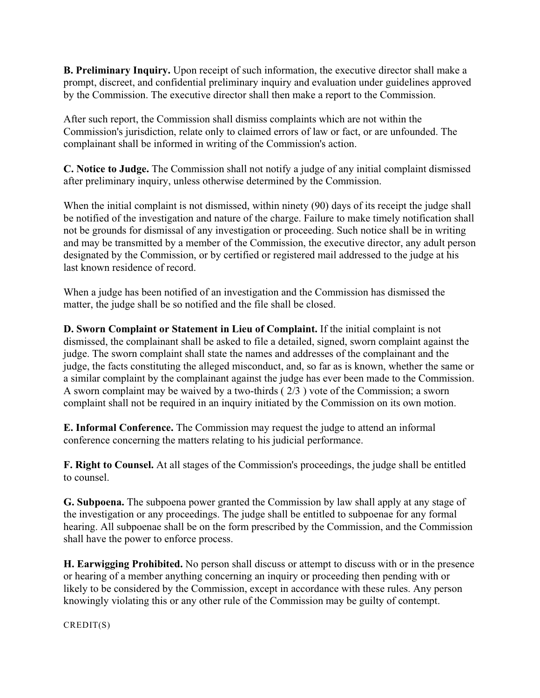**B. Preliminary Inquiry.** Upon receipt of such information, the executive director shall make a prompt, discreet, and confidential preliminary inquiry and evaluation under guidelines approved by the Commission. The executive director shall then make a report to the Commission.

After such report, the Commission shall dismiss complaints which are not within the Commission's jurisdiction, relate only to claimed errors of law or fact, or are unfounded. The complainant shall be informed in writing of the Commission's action.

**C. Notice to Judge.** The Commission shall not notify a judge of any initial complaint dismissed after preliminary inquiry, unless otherwise determined by the Commission.

When the initial complaint is not dismissed, within ninety (90) days of its receipt the judge shall be notified of the investigation and nature of the charge. Failure to make timely notification shall not be grounds for dismissal of any investigation or proceeding. Such notice shall be in writing and may be transmitted by a member of the Commission, the executive director, any adult person designated by the Commission, or by certified or registered mail addressed to the judge at his last known residence of record.

When a judge has been notified of an investigation and the Commission has dismissed the matter, the judge shall be so notified and the file shall be closed.

**D. Sworn Complaint or Statement in Lieu of Complaint.** If the initial complaint is not dismissed, the complainant shall be asked to file a detailed, signed, sworn complaint against the judge. The sworn complaint shall state the names and addresses of the complainant and the judge, the facts constituting the alleged misconduct, and, so far as is known, whether the same or a similar complaint by the complainant against the judge has ever been made to the Commission. A sworn complaint may be waived by a two-thirds  $(2/3)$  vote of the Commission; a sworn complaint shall not be required in an inquiry initiated by the Commission on its own motion.

**E. Informal Conference.** The Commission may request the judge to attend an informal conference concerning the matters relating to his judicial performance.

**F. Right to Counsel.** At all stages of the Commission's proceedings, the judge shall be entitled to counsel.

**G. Subpoena.** The subpoena power granted the Commission by law shall apply at any stage of the investigation or any proceedings. The judge shall be entitled to subpoenae for any formal hearing. All subpoenae shall be on the form prescribed by the Commission, and the Commission shall have the power to enforce process.

**H. Earwigging Prohibited.** No person shall discuss or attempt to discuss with or in the presence or hearing of a member anything concerning an inquiry or proceeding then pending with or likely to be considered by the Commission, except in accordance with these rules. Any person knowingly violating this or any other rule of the Commission may be guilty of contempt.

CREDIT(S)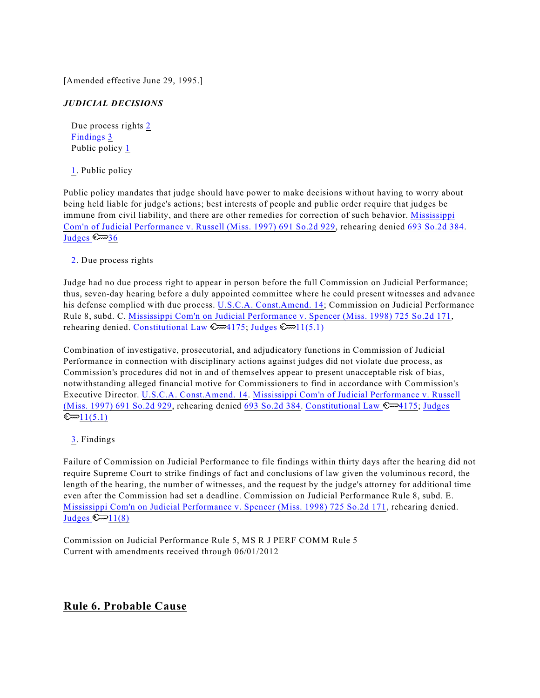[Amended effective June 29, 1995.]

### *JUDICIAL DECISIONS*

<span id="page-7-5"></span><span id="page-7-4"></span><span id="page-7-3"></span>Due process rights [2](#page-7-0) Findings [3](#page-7-1) Public policy [1](#page-7-2)

[1](#page-7-3). Public policy

<span id="page-7-2"></span>Public policy mandates that judge should have power to make decisions without having to worry about being held liable for judge's actions; best interests of people and public order require that judges be immune from civil liability, and there are other remedies for correction of such behavior. [Mississippi](http://www.westlaw.com/Find/Default.wl?rs=dfa1.0&vr=2.0&DB=0000735&FindType=Y&SerialNum=1997047496) [Com'n of Judicial Performance v. Russell \(Miss. 1997\) 691 So.2d 929](http://www.westlaw.com/Find/Default.wl?rs=dfa1.0&vr=2.0&DB=0000735&FindType=Y&SerialNum=1997047496), rehearing denied [693 So.2d 384](http://www.westlaw.com/Find/Default.wl?rs=dfa1.0&vr=2.0&DB=0000735&FindType=Y&SerialNum=1997096465). Judges  $\mathbb{S} \rightarrow 36$ 

[2](#page-7-4). Due process rights

<span id="page-7-0"></span>Judge had no due process right to appear in person before the full Commission on Judicial Performance; thus, seven-day hearing before a duly appointed committee where he could present witnesses and advance his defense complied with due process. [U.S.C.A. Const.Amend. 14](http://www.westlaw.com/Find/Default.wl?rs=dfa1.0&vr=2.0&DB=1000583&DocName=USCOAMENDXIV&FindType=L); Commission on Judicial Performance Rule 8, subd. C. [Mississippi Com'n on Judicial Performance v. Spencer \(Miss. 1998\) 725 So.2d 171](http://www.westlaw.com/Find/Default.wl?rs=dfa1.0&vr=2.0&DB=0000735&FindType=Y&SerialNum=1998192534), rehearing denied. [Constitutional Law](http://www.westlaw.com/KeyNumber/Default.wl?rs=dfa1.0&vr=2.0&CMD=KEY&DocName=92k4175)  $\mathbb{Z}$ 4175; Judges  $\mathbb{Z}$ 11(5.1)

Combination of investigative, prosecutorial, and adjudicatory functions in Commission of Judicial Performance in connection with disciplinary actions against judges did not violate due process, as Commission's procedures did not in and of themselves appear to present unacceptable risk of bias, notwithstanding alleged financial motive for Commissioners to find in accordance with Commission's Executive Director. [U.S.C.A. Const.Amend. 14](http://www.westlaw.com/Find/Default.wl?rs=dfa1.0&vr=2.0&DB=1000583&DocName=USCOAMENDXIV&FindType=L). [Mississippi Com'n of Judicial Performance v. Russell](http://www.westlaw.com/Find/Default.wl?rs=dfa1.0&vr=2.0&DB=0000735&FindType=Y&SerialNum=1997047496) [\(Miss. 1997\) 691 So.2d 929](http://www.westlaw.com/Find/Default.wl?rs=dfa1.0&vr=2.0&DB=0000735&FindType=Y&SerialNum=1997047496), rehearing denied [693 So.2d 384](http://www.westlaw.com/Find/Default.wl?rs=dfa1.0&vr=2.0&DB=0000735&FindType=Y&SerialNum=1997096465). [Constitutional Law](http://www.westlaw.com/KeyNumber/Default.wl?rs=dfa1.0&vr=2.0&CMD=KEY&DocName=92k4175)  $\mathbb{R}$  4175; [Judges](http://www.westlaw.com/KeyNumber/Default.wl?rs=dfa1.0&vr=2.0&CMD=KEY&DocName=227k11%285.1%29)  $\mathbb{C}$   $1(5.1)$ 

### [3](#page-7-5). Findings

<span id="page-7-1"></span>Failure of Commission on Judicial Performance to file findings within thirty days after the hearing did not require Supreme Court to strike findings of fact and conclusions of law given the voluminous record, the length of the hearing, the number of witnesses, and the request by the judge's attorney for additional time even after the Commission had set a deadline. Commission on Judicial Performance Rule 8, subd. E. [Mississippi Com'n on Judicial Performance v. Spencer \(Miss. 1998\) 725 So.2d 171](http://www.westlaw.com/Find/Default.wl?rs=dfa1.0&vr=2.0&DB=0000735&FindType=Y&SerialNum=1998192534), rehearing denied. Judges  $\mathbb{C} \rightarrow 11(8)$ 

Commission on Judicial Performance Rule 5, MS R J PERF COMM Rule 5 Current with amendments received through 06/01/2012

## **Rule 6. Probable Cause**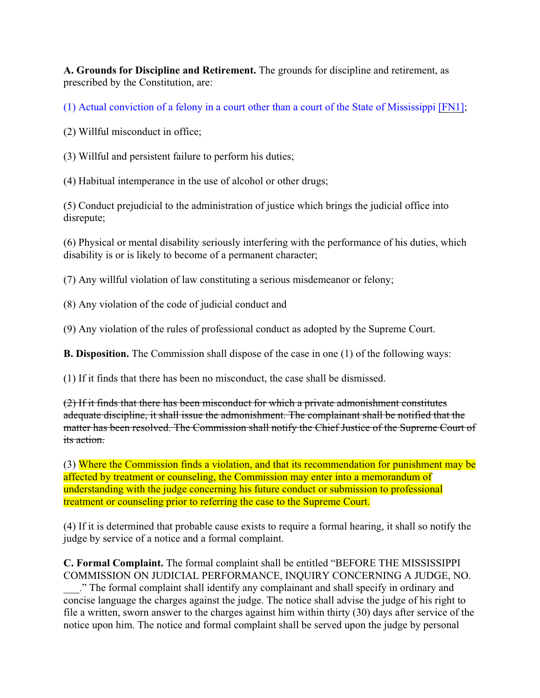**A. Grounds for Discipline and Retirement.** The grounds for discipline and retirement, as prescribed by the Constitution, are:

<span id="page-8-0"></span>(1) Actual conviction of a felony in a court other than a court of the State of Mississippi [\[FN1\]](#page-9-0);

(2) Willful misconduct in office;

(3) Willful and persistent failure to perform his duties;

(4) Habitual intemperance in the use of alcohol or other drugs;

(5) Conduct prejudicial to the administration of justice which brings the judicial office into disrepute;

(6) Physical or mental disability seriously interfering with the performance of his duties, which disability is or is likely to become of a permanent character;

(7) Any willful violation of law constituting a serious misdemeanor or felony;

(8) Any violation of the code of judicial conduct and

(9) Any violation of the rules of professional conduct as adopted by the Supreme Court.

**B. Disposition.** The Commission shall dispose of the case in one (1) of the following ways:

(1) If it finds that there has been no misconduct, the case shall be dismissed.

(2) If it finds that there has been misconduct for which a private admonishment constitutes adequate discipline, it shall issue the admonishment. The complainant shall be notified that the matter has been resolved. The Commission shall notify the Chief Justice of the Supreme Court of its action.

(3) Where the Commission finds a violation, and that its recommendation for punishment may be affected by treatment or counseling, the Commission may enter into a memorandum of understanding with the judge concerning his future conduct or submission to professional treatment or counseling prior to referring the case to the Supreme Court.

(4) If it is determined that probable cause exists to require a formal hearing, it shall so notify the judge by service of a notice and a formal complaint.

**C. Formal Complaint.** The formal complaint shall be entitled "BEFORE THE MISSISSIPPI COMMISSION ON JUDICIAL PERFORMANCE, INQUIRY CONCERNING A JUDGE, NO.

\_\_\_." The formal complaint shall identify any complainant and shall specify in ordinary and concise language the charges against the judge. The notice shall advise the judge of his right to file a written, sworn answer to the charges against him within thirty (30) days after service of the notice upon him. The notice and formal complaint shall be served upon the judge by personal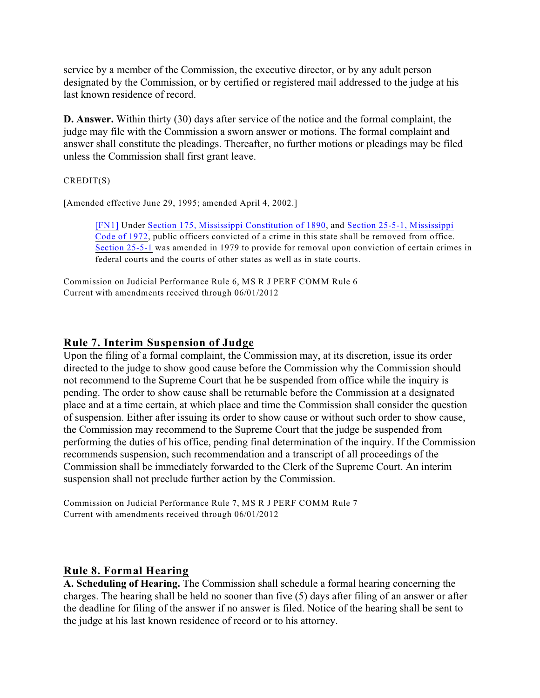service by a member of the Commission, the executive director, or by any adult person designated by the Commission, or by certified or registered mail addressed to the judge at his last known residence of record.

**D. Answer.** Within thirty (30) days after service of the notice and the formal complaint, the judge may file with the Commission a sworn answer or motions. The formal complaint and answer shall constitute the pleadings. Thereafter, no further motions or pleadings may be filed unless the Commission shall first grant leave.

CREDIT(S)

[Amended effective June 29, 1995; amended April 4, 2002.]

<span id="page-9-0"></span>[\[FN1\]](#page-8-0) Under [Section 175, Mississippi Constitution of 1890](http://www.westlaw.com/Find/Default.wl?rs=dfa1.0&vr=2.0&DB=1000934&DocName=MSCNART6S175&FindType=L), and [Section 25-5-1, Mississippi](http://www.westlaw.com/Find/Default.wl?rs=dfa1.0&vr=2.0&DB=1000933&DocName=MSSTS25-5-1&FindType=L) [Code of 1972](http://www.westlaw.com/Find/Default.wl?rs=dfa1.0&vr=2.0&DB=1000933&DocName=MSSTS25-5-1&FindType=L), public officers convicted of a crime in this state shall be removed from office. [Section 25-5-1](http://www.westlaw.com/Find/Default.wl?rs=dfa1.0&vr=2.0&DB=1000933&DocName=MSSTS25-5-1&FindType=L) was amended in 1979 to provide for removal upon conviction of certain crimes in federal courts and the courts of other states as well as in state courts.

Commission on Judicial Performance Rule 6, MS R J PERF COMM Rule 6 Current with amendments received through 06/01/2012

## **Rule 7. Interim Suspension of Judge**

Upon the filing of a formal complaint, the Commission may, at its discretion, issue its order directed to the judge to show good cause before the Commission why the Commission should not recommend to the Supreme Court that he be suspended from office while the inquiry is pending. The order to show cause shall be returnable before the Commission at a designated place and at a time certain, at which place and time the Commission shall consider the question of suspension. Either after issuing its order to show cause or without such order to show cause, the Commission may recommend to the Supreme Court that the judge be suspended from performing the duties of his office, pending final determination of the inquiry. If the Commission recommends suspension, such recommendation and a transcript of all proceedings of the Commission shall be immediately forwarded to the Clerk of the Supreme Court. An interim suspension shall not preclude further action by the Commission.

Commission on Judicial Performance Rule 7, MS R J PERF COMM Rule 7 Current with amendments received through 06/01/2012

## **Rule 8. Formal Hearing**

**A. Scheduling of Hearing.** The Commission shall schedule a formal hearing concerning the charges. The hearing shall be held no sooner than five (5) days after filing of an answer or after the deadline for filing of the answer if no answer is filed. Notice of the hearing shall be sent to the judge at his last known residence of record or to his attorney.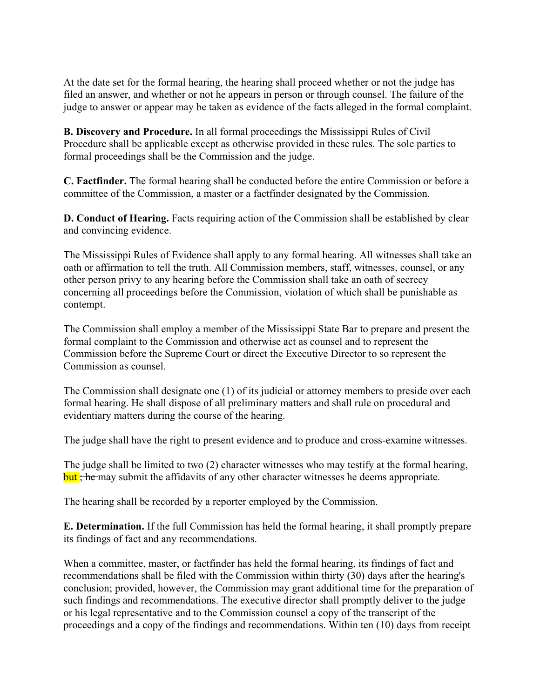At the date set for the formal hearing, the hearing shall proceed whether or not the judge has filed an answer, and whether or not he appears in person or through counsel. The failure of the judge to answer or appear may be taken as evidence of the facts alleged in the formal complaint.

**B. Discovery and Procedure.** In all formal proceedings the Mississippi Rules of Civil Procedure shall be applicable except as otherwise provided in these rules. The sole parties to formal proceedings shall be the Commission and the judge.

**C. Factfinder.** The formal hearing shall be conducted before the entire Commission or before a committee of the Commission, a master or a factfinder designated by the Commission.

**D. Conduct of Hearing.** Facts requiring action of the Commission shall be established by clear and convincing evidence.

The Mississippi Rules of Evidence shall apply to any formal hearing. All witnesses shall take an oath or affirmation to tell the truth. All Commission members, staff, witnesses, counsel, or any other person privy to any hearing before the Commission shall take an oath of secrecy concerning all proceedings before the Commission, violation of which shall be punishable as contempt.

The Commission shall employ a member of the Mississippi State Bar to prepare and present the formal complaint to the Commission and otherwise act as counsel and to represent the Commission before the Supreme Court or direct the Executive Director to so represent the Commission as counsel.

The Commission shall designate one (1) of its judicial or attorney members to preside over each formal hearing. He shall dispose of all preliminary matters and shall rule on procedural and evidentiary matters during the course of the hearing.

The judge shall have the right to present evidence and to produce and cross-examine witnesses.

The judge shall be limited to two (2) character witnesses who may testify at the formal hearing, but; he may submit the affidavits of any other character witnesses he deems appropriate.

The hearing shall be recorded by a reporter employed by the Commission.

**E. Determination.** If the full Commission has held the formal hearing, it shall promptly prepare its findings of fact and any recommendations.

When a committee, master, or factfinder has held the formal hearing, its findings of fact and recommendations shall be filed with the Commission within thirty (30) days after the hearing's conclusion; provided, however, the Commission may grant additional time for the preparation of such findings and recommendations. The executive director shall promptly deliver to the judge or his legal representative and to the Commission counsel a copy of the transcript of the proceedings and a copy of the findings and recommendations. Within ten (10) days from receipt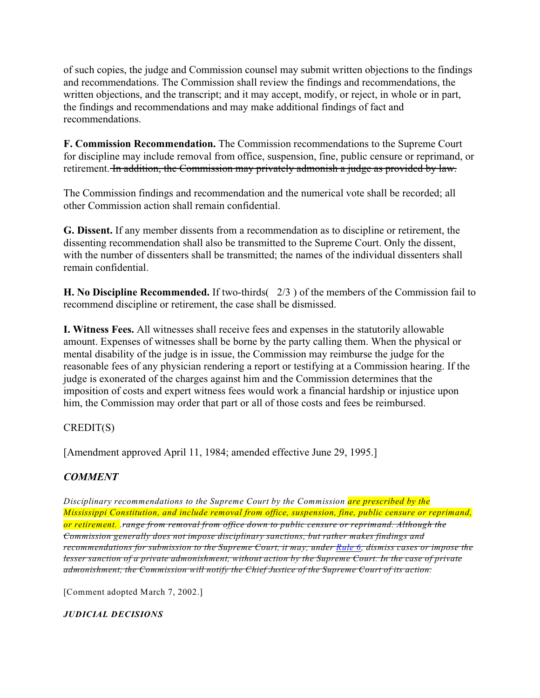of such copies, the judge and Commission counsel may submit written objections to the findings and recommendations. The Commission shall review the findings and recommendations, the written objections, and the transcript; and it may accept, modify, or reject, in whole or in part, the findings and recommendations and may make additional findings of fact and recommendations.

**F. Commission Recommendation.** The Commission recommendations to the Supreme Court for discipline may include removal from office, suspension, fine, public censure or reprimand, or retirement. In addition, the Commission may privately admonish a judge as provided by law.

The Commission findings and recommendation and the numerical vote shall be recorded; all other Commission action shall remain confidential.

**G. Dissent.** If any member dissents from a recommendation as to discipline or retirement, the dissenting recommendation shall also be transmitted to the Supreme Court. Only the dissent, with the number of dissenters shall be transmitted; the names of the individual dissenters shall remain confidential.

**H. No Discipline Recommended.** If two-thirds( 2/3 ) of the members of the Commission fail to recommend discipline or retirement, the case shall be dismissed.

**I. Witness Fees.** All witnesses shall receive fees and expenses in the statutorily allowable amount. Expenses of witnesses shall be borne by the party calling them. When the physical or mental disability of the judge is in issue, the Commission may reimburse the judge for the reasonable fees of any physician rendering a report or testifying at a Commission hearing. If the judge is exonerated of the charges against him and the Commission determines that the imposition of costs and expert witness fees would work a financial hardship or injustice upon him, the Commission may order that part or all of those costs and fees be reimbursed.

## CREDIT(S)

[Amendment approved April 11, 1984; amended effective June 29, 1995.]

# *COMMENT*

*Disciplinary recommendations to the Supreme Court by the Commission are prescribed by the Mississippi Constitution, and include removal from office, suspension, fine, public censure or reprimand, or retirement. .range from removal from office down to public censure or reprimand. Although the Commission generally does not impose disciplinary sanctions, but rather makes findings and recommendations for submission to the Supreme Court, it may, under [Rule 6](http://www.westlaw.com/Find/Default.wl?rs=dfa1.0&vr=2.0&DB=1008412&DocName=MSRPERFR6&FindType=L), dismiss cases or impose the lesser sanction of a private admonishment, without action by the Supreme Court. In the case of private admonishment, the Commission will notify the Chief Justice of the Supreme Court of its action.*

[Comment adopted March 7, 2002.]

*JUDICIAL DECISIONS*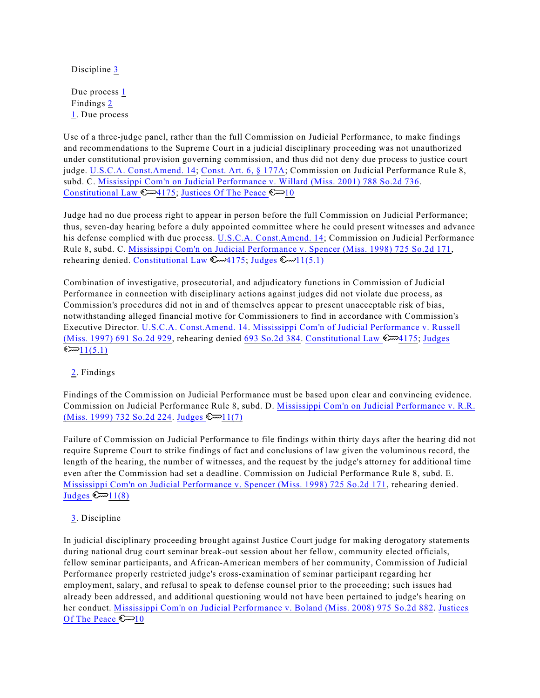<span id="page-12-5"></span>Discipline [3](#page-12-0)

<span id="page-12-4"></span><span id="page-12-3"></span>Due process  $1$ Findings [2](#page-12-2) [1](#page-12-3). Due process

<span id="page-12-1"></span>Use of a three-judge panel, rather than the full Commission on Judicial Performance, to make findings and recommendations to the Supreme Court in a judicial disciplinary proceeding was not unauthorized under constitutional provision governing commission, and thus did not deny due process to justice court judge. [U.S.C.A. Const.Amend. 14](http://www.westlaw.com/Find/Default.wl?rs=dfa1.0&vr=2.0&DB=1000583&DocName=USCOAMENDXIV&FindType=L); [Const. Art. 6, § 177A](http://www.westlaw.com/Find/Default.wl?rs=dfa1.0&vr=2.0&DB=1000934&DocName=MSCNART6S177A&FindType=L); Commission on Judicial Performance Rule 8, subd. C. [Mississippi Com'n on Judicial Performance v. Willard \(Miss. 2001\) 788 So.2d 736](http://www.westlaw.com/Find/Default.wl?rs=dfa1.0&vr=2.0&DB=0000735&FindType=Y&SerialNum=2001517142). [Constitutional Law](http://www.westlaw.com/KeyNumber/Default.wl?rs=dfa1.0&vr=2.0&CMD=KEY&DocName=92k4175)  $\mathbb{C}$  4175; [Justices Of The Peace](http://www.westlaw.com/KeyNumber/Default.wl?rs=dfa1.0&vr=2.0&CMD=KEY&DocName=231k10)  $\mathbb{C}$  10

Judge had no due process right to appear in person before the full Commission on Judicial Performance; thus, seven-day hearing before a duly appointed committee where he could present witnesses and advance his defense complied with due process. [U.S.C.A. Const.Amend. 14](http://www.westlaw.com/Find/Default.wl?rs=dfa1.0&vr=2.0&DB=1000583&DocName=USCOAMENDXIV&FindType=L); Commission on Judicial Performance Rule 8, subd. C. [Mississippi Com'n on Judicial Performance v. Spencer \(Miss. 1998\) 725 So.2d 171](http://www.westlaw.com/Find/Default.wl?rs=dfa1.0&vr=2.0&DB=0000735&FindType=Y&SerialNum=1998192534), rehearing denied. [Constitutional Law](http://www.westlaw.com/KeyNumber/Default.wl?rs=dfa1.0&vr=2.0&CMD=KEY&DocName=92k4175)  $\mathbb{C}$  4175; Judges  $\mathbb{C}$  11(5.1)

Combination of investigative, prosecutorial, and adjudicatory functions in Commission of Judicial Performance in connection with disciplinary actions against judges did not violate due process, as Commission's procedures did not in and of themselves appear to present unacceptable risk of bias, notwithstanding alleged financial motive for Commissioners to find in accordance with Commission's Executive Director. [U.S.C.A. Const.Amend. 14](http://www.westlaw.com/Find/Default.wl?rs=dfa1.0&vr=2.0&DB=1000583&DocName=USCOAMENDXIV&FindType=L). [Mississippi Com'n of Judicial Performance v. Russell](http://www.westlaw.com/Find/Default.wl?rs=dfa1.0&vr=2.0&DB=0000735&FindType=Y&SerialNum=1997047496) [\(Miss. 1997\) 691 So.2d 929](http://www.westlaw.com/Find/Default.wl?rs=dfa1.0&vr=2.0&DB=0000735&FindType=Y&SerialNum=1997047496), rehearing denied [693 So.2d 384](http://www.westlaw.com/Find/Default.wl?rs=dfa1.0&vr=2.0&DB=0000735&FindType=Y&SerialNum=1997096465). [Constitutional Law](http://www.westlaw.com/KeyNumber/Default.wl?rs=dfa1.0&vr=2.0&CMD=KEY&DocName=92k4175) 4175; [Judges](http://www.westlaw.com/KeyNumber/Default.wl?rs=dfa1.0&vr=2.0&CMD=KEY&DocName=227k11%285.1%29)  $\mathbb{C}$   $1(5.1)$ 

[2](#page-12-4). Findings

<span id="page-12-2"></span>Findings of the Commission on Judicial Performance must be based upon clear and convincing evidence. Commission on Judicial Performance Rule 8, subd. D. [Mississippi Com'n on Judicial Performance v. R.R.](http://www.westlaw.com/Find/Default.wl?rs=dfa1.0&vr=2.0&DB=0000735&FindType=Y&SerialNum=1999052437) [\(Miss. 1999\) 732 So.2d 224](http://www.westlaw.com/Find/Default.wl?rs=dfa1.0&vr=2.0&DB=0000735&FindType=Y&SerialNum=1999052437). Judges  $\mathbb{S}$  | 1(7)

Failure of Commission on Judicial Performance to file findings within thirty days after the hearing did not require Supreme Court to strike findings of fact and conclusions of law given the voluminous record, the length of the hearing, the number of witnesses, and the request by the judge's attorney for additional time even after the Commission had set a deadline. Commission on Judicial Performance Rule 8, subd. E. [Mississippi Com'n on Judicial Performance v. Spencer \(Miss. 1998\) 725 So.2d 171](http://www.westlaw.com/Find/Default.wl?rs=dfa1.0&vr=2.0&DB=0000735&FindType=Y&SerialNum=1998192534), rehearing denied. Judges  $\mathbb{C}$  11(8)

[3](#page-12-5). Discipline

<span id="page-12-0"></span>In judicial disciplinary proceeding brought against Justice Court judge for making derogatory statements during national drug court seminar break-out session about her fellow, community elected officials, fellow seminar participants, and African-American members of her community, Commission of Judicial Performance properly restricted judge's cross-examination of seminar participant regarding her employment, salary, and refusal to speak to defense counsel prior to the proceeding; such issues had already been addressed, and additional questioning would not have been pertained to judge's hearing on her conduct. [Mississippi Com'n on Judicial Performance v. Boland \(Miss. 2008\) 975 So.2d 882](http://www.westlaw.com/Find/Default.wl?rs=dfa1.0&vr=2.0&DB=0000735&FindType=Y&SerialNum=2015352119). [Justices](http://www.westlaw.com/KeyNumber/Default.wl?rs=dfa1.0&vr=2.0&CMD=KEY&DocName=231k10) [Of The Peace](http://www.westlaw.com/KeyNumber/Default.wl?rs=dfa1.0&vr=2.0&CMD=KEY&DocName=231k10)  $\mathbb{C}$  10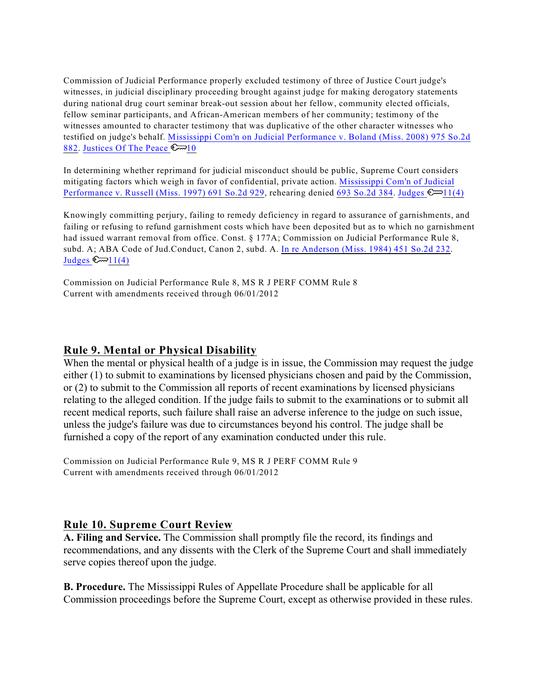Commission of Judicial Performance properly excluded testimony of three of Justice Court judge's witnesses, in judicial disciplinary proceeding brought against judge for making derogatory statements during national drug court seminar break-out session about her fellow, community elected officials, fellow seminar participants, and African-American members of her community; testimony of the witnesses amounted to character testimony that was duplicative of the other character witnesses who testified on judge's behalf. [Mississippi Com'n on Judicial Performance v. Boland \(Miss. 2008\) 975 So.2d](http://www.westlaw.com/Find/Default.wl?rs=dfa1.0&vr=2.0&DB=0000735&FindType=Y&SerialNum=2015352119) [882](http://www.westlaw.com/Find/Default.wl?rs=dfa1.0&vr=2.0&DB=0000735&FindType=Y&SerialNum=2015352119). [Justices Of The Peace](http://www.westlaw.com/KeyNumber/Default.wl?rs=dfa1.0&vr=2.0&CMD=KEY&DocName=231k10)  $\mathbb{S} \rightarrow 10$ 

In determining whether reprimand for judicial misconduct should be public, Supreme Court considers mitigating factors which weigh in favor of confidential, private action. [Mississippi Com'n of Judicial](http://www.westlaw.com/Find/Default.wl?rs=dfa1.0&vr=2.0&DB=0000735&FindType=Y&SerialNum=1997047496) [Performance v. Russell \(Miss. 1997\) 691 So.2d 929](http://www.westlaw.com/Find/Default.wl?rs=dfa1.0&vr=2.0&DB=0000735&FindType=Y&SerialNum=1997047496), rehearing denied [693 So.2d 384](http://www.westlaw.com/Find/Default.wl?rs=dfa1.0&vr=2.0&DB=0000735&FindType=Y&SerialNum=1997096465). Judges  $\mathbb{R}$  | 1(4)

Knowingly committing perjury, failing to remedy deficiency in regard to assurance of garnishments, and failing or refusing to refund garnishment costs which have been deposited but as to which no garnishment had issued warrant removal from office. Const. § 177A; Commission on Judicial Performance Rule 8, subd. A; ABA Code of Jud.Conduct, Canon 2, subd. A. [In re Anderson \(Miss. 1984\) 451 So.2d 232](http://www.westlaw.com/Find/Default.wl?rs=dfa1.0&vr=2.0&DB=0000735&FindType=Y&SerialNum=1984128065). Judges  $\mathbb{C} \rightarrow 11(4)$ 

Commission on Judicial Performance Rule 8, MS R J PERF COMM Rule 8 Current with amendments received through 06/01/2012

## **Rule 9. Mental or Physical Disability**

When the mental or physical health of a judge is in issue, the Commission may request the judge either (1) to submit to examinations by licensed physicians chosen and paid by the Commission, or (2) to submit to the Commission all reports of recent examinations by licensed physicians relating to the alleged condition. If the judge fails to submit to the examinations or to submit all recent medical reports, such failure shall raise an adverse inference to the judge on such issue, unless the judge's failure was due to circumstances beyond his control. The judge shall be furnished a copy of the report of any examination conducted under this rule.

Commission on Judicial Performance Rule 9, MS R J PERF COMM Rule 9 Current with amendments received through 06/01/2012

## **Rule 10. Supreme Court Review**

**A. Filing and Service.** The Commission shall promptly file the record, its findings and recommendations, and any dissents with the Clerk of the Supreme Court and shall immediately serve copies thereof upon the judge.

**B. Procedure.** The Mississippi Rules of Appellate Procedure shall be applicable for all Commission proceedings before the Supreme Court, except as otherwise provided in these rules.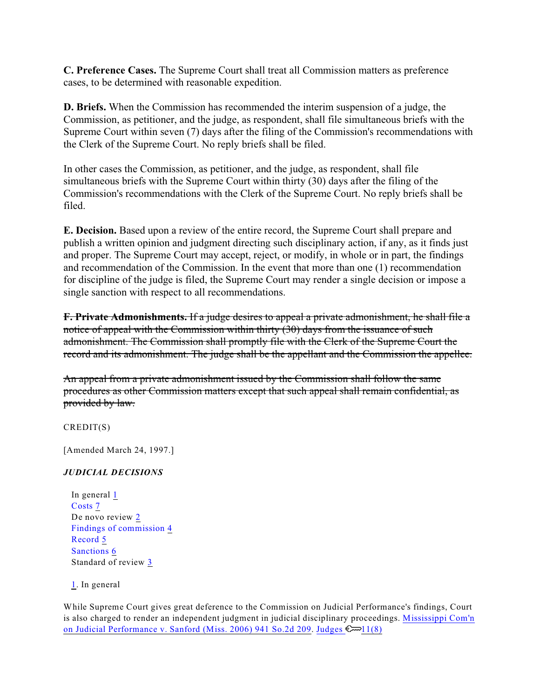**C. Preference Cases.** The Supreme Court shall treat all Commission matters as preference cases, to be determined with reasonable expedition.

**D. Briefs.** When the Commission has recommended the interim suspension of a judge, the Commission, as petitioner, and the judge, as respondent, shall file simultaneous briefs with the Supreme Court within seven (7) days after the filing of the Commission's recommendations with the Clerk of the Supreme Court. No reply briefs shall be filed.

In other cases the Commission, as petitioner, and the judge, as respondent, shall file simultaneous briefs with the Supreme Court within thirty (30) days after the filing of the Commission's recommendations with the Clerk of the Supreme Court. No reply briefs shall be filed.

**E. Decision.** Based upon a review of the entire record, the Supreme Court shall prepare and publish a written opinion and judgment directing such disciplinary action, if any, as it finds just and proper. The Supreme Court may accept, reject, or modify, in whole or in part, the findings and recommendation of the Commission. In the event that more than one (1) recommendation for discipline of the judge is filed, the Supreme Court may render a single decision or impose a single sanction with respect to all recommendations.

**F. Private Admonishments.** If a judge desires to appeal a private admonishment, he shall file a notice of appeal with the Commission within thirty (30) days from the issuance of such admonishment. The Commission shall promptly file with the Clerk of the Supreme Court the record and its admonishment. The judge shall be the appellant and the Commission the appellee.

An appeal from a private admonishment issued by the Commission shall follow the same procedures as other Commission matters except that such appeal shall remain confidential, as provided by law.

CREDIT(S)

[Amended March 24, 1997.]

### *JUDICIAL DECISIONS*

<span id="page-14-7"></span><span id="page-14-5"></span><span id="page-14-4"></span><span id="page-14-2"></span><span id="page-14-1"></span>In general [1](#page-14-0) Costs [7](#page-17-0) De novo review [2](#page-15-0) Findings of commission [4](#page-15-1) Record [5](#page-16-0) Sanctions [6](#page-16-1) Standard of review [3](#page-15-2)

<span id="page-14-6"></span><span id="page-14-3"></span>[1](#page-14-1). In general

<span id="page-14-0"></span>While Supreme Court gives great deference to the Commission on Judicial Performance's findings, Court is also charged to render an independent judgment in judicial disciplinary proceedings. [Mississippi Com'n](http://www.westlaw.com/Find/Default.wl?rs=dfa1.0&vr=2.0&DB=0000735&FindType=Y&SerialNum=2010519785) [on Judicial Performance v. Sanford \(Miss. 2006\) 941 So.2d 209](http://www.westlaw.com/Find/Default.wl?rs=dfa1.0&vr=2.0&DB=0000735&FindType=Y&SerialNum=2010519785). Judges  $\mathbb{C}$  11(8)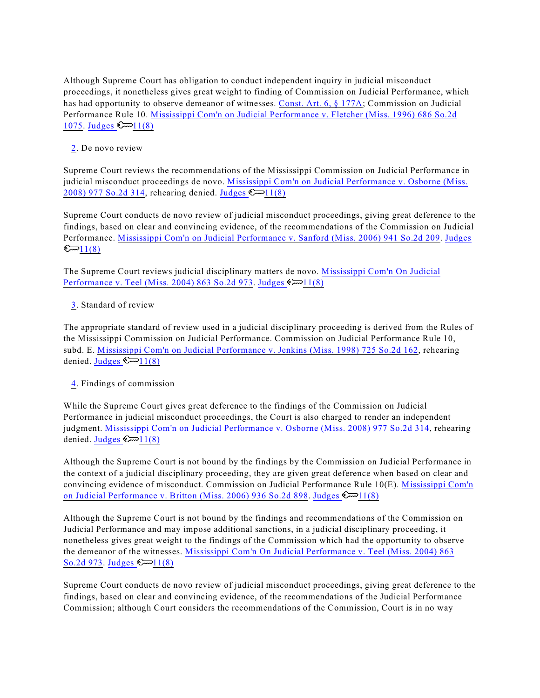Although Supreme Court has obligation to conduct independent inquiry in judicial misconduct proceedings, it nonetheless gives great weight to finding of Commission on Judicial Performance, which has had opportunity to observe demeanor of witnesses. [Const. Art. 6, § 177A](http://www.westlaw.com/Find/Default.wl?rs=dfa1.0&vr=2.0&DB=1000934&DocName=MSCNART6S177A&FindType=L); Commission on Judicial Performance Rule 10. [Mississippi Com'n on Judicial Performance v. Fletcher \(Miss. 1996\) 686 So.2d](http://www.westlaw.com/Find/Default.wl?rs=dfa1.0&vr=2.0&DB=0000735&FindType=Y&SerialNum=1996278214) [1075](http://www.westlaw.com/Find/Default.wl?rs=dfa1.0&vr=2.0&DB=0000735&FindType=Y&SerialNum=1996278214). Judges  $\mathbb{C} \rightarrow 11(8)$ 

[2](#page-14-2). De novo review

<span id="page-15-0"></span>Supreme Court reviews the recommendations of the Mississippi Commission on Judicial Performance in judicial misconduct proceedings de novo. [Mississippi Com'n on Judicial Performance v. Osborne \(Miss.](http://www.westlaw.com/Find/Default.wl?rs=dfa1.0&vr=2.0&DB=0000735&FindType=Y&SerialNum=2014961497) [2008\) 977 So.2d 314](http://www.westlaw.com/Find/Default.wl?rs=dfa1.0&vr=2.0&DB=0000735&FindType=Y&SerialNum=2014961497), rehearing denied. Judges  $\mathbb{Z}$  11(8)

Supreme Court conducts de novo review of judicial misconduct proceedings, giving great deference to the findings, based on clear and convincing evidence, of the recommendations of the Commission on Judicial Performance. [Mississippi Com'n on Judicial Performance v. Sanford \(Miss. 2006\) 941 So.2d 209](http://www.westlaw.com/Find/Default.wl?rs=dfa1.0&vr=2.0&DB=0000735&FindType=Y&SerialNum=2010519785). [Judges](http://www.westlaw.com/KeyNumber/Default.wl?rs=dfa1.0&vr=2.0&CMD=KEY&DocName=227k11%288%29)  $\mathbb{C}$   $\sim$  1(8)

The Supreme Court reviews judicial disciplinary matters de novo. [Mississippi Com'n On Judicial](http://www.westlaw.com/Find/Default.wl?rs=dfa1.0&vr=2.0&DB=0000735&FindType=Y&SerialNum=2004065804) [Performance v. Teel \(Miss. 2004\) 863 So.2d 973](http://www.westlaw.com/Find/Default.wl?rs=dfa1.0&vr=2.0&DB=0000735&FindType=Y&SerialNum=2004065804). Judges  $\mathbb{C}$  11(8)

### [3](#page-14-3). Standard of review

<span id="page-15-2"></span>The appropriate standard of review used in a judicial disciplinary proceeding is derived from the Rules of the Mississippi Commission on Judicial Performance. Commission on Judicial Performance Rule 10, subd. E. [Mississippi Com'n on Judicial Performance v. Jenkins \(Miss. 1998\) 725 So.2d 162](http://www.westlaw.com/Find/Default.wl?rs=dfa1.0&vr=2.0&DB=0000735&FindType=Y&SerialNum=1998187351), rehearing denied. Judges  $\mathbb{C} \rightarrow 11(8)$ 

### [4](#page-14-4). Findings of commission

<span id="page-15-1"></span>While the Supreme Court gives great deference to the findings of the Commission on Judicial Performance in judicial misconduct proceedings, the Court is also charged to render an independent judgment. [Mississippi Com'n on Judicial Performance v. Osborne \(Miss. 2008\) 977 So.2d 314](http://www.westlaw.com/Find/Default.wl?rs=dfa1.0&vr=2.0&DB=0000735&FindType=Y&SerialNum=2014961497), rehearing denied. Judges  $\mathbb{C} \rightarrow 11(8)$ 

Although the Supreme Court is not bound by the findings by the Commission on Judicial Performance in the context of a judicial disciplinary proceeding, they are given great deference when based on clear and convincing evidence of misconduct. Commission on Judicial Performance Rule 10(E). [Mississippi Com'n](http://www.westlaw.com/Find/Default.wl?rs=dfa1.0&vr=2.0&DB=0000735&FindType=Y&SerialNum=2009781337) [on Judicial Performance v. Britton \(Miss. 2006\) 936 So.2d 898](http://www.westlaw.com/Find/Default.wl?rs=dfa1.0&vr=2.0&DB=0000735&FindType=Y&SerialNum=2009781337). Judges  $\mathbb{C}$  11(8)

Although the Supreme Court is not bound by the findings and recommendations of the Commission on Judicial Performance and may impose additional sanctions, in a judicial disciplinary proceeding, it nonetheless gives great weight to the findings of the Commission which had the opportunity to observe the demeanor of the witnesses. [Mississippi Com'n On Judicial Performance v. Teel \(Miss. 2004\) 863](http://www.westlaw.com/Find/Default.wl?rs=dfa1.0&vr=2.0&DB=0000735&FindType=Y&SerialNum=2004065804) [So.2d 973](http://www.westlaw.com/Find/Default.wl?rs=dfa1.0&vr=2.0&DB=0000735&FindType=Y&SerialNum=2004065804). Judges  $\mathbb{S}$  11(8)

Supreme Court conducts de novo review of judicial misconduct proceedings, giving great deference to the findings, based on clear and convincing evidence, of the recommendations of the Judicial Performance Commission; although Court considers the recommendations of the Commission, Court is in no way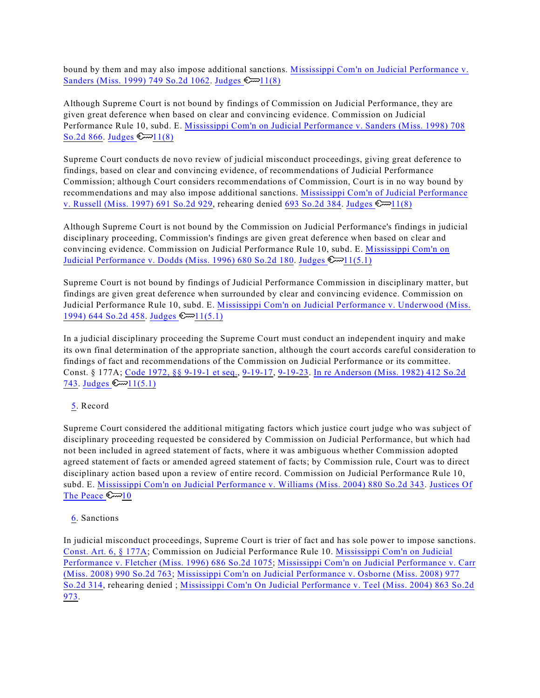bound by them and may also impose additional sanctions. [Mississippi Com'n on Judicial Performance v.](http://www.westlaw.com/Find/Default.wl?rs=dfa1.0&vr=2.0&DB=0000735&FindType=Y&SerialNum=1999264565) [Sanders \(Miss. 1999\) 749 So.2d 1062](http://www.westlaw.com/Find/Default.wl?rs=dfa1.0&vr=2.0&DB=0000735&FindType=Y&SerialNum=1999264565). Judges  $\mathbb{S}$  11(8)

Although Supreme Court is not bound by findings of Commission on Judicial Performance, they are given great deference when based on clear and convincing evidence. Commission on Judicial Performance Rule 10, subd. E. [Mississippi Com'n on Judicial Performance v. Sanders \(Miss. 1998\) 708](http://www.westlaw.com/Find/Default.wl?rs=dfa1.0&vr=2.0&DB=0000735&FindType=Y&SerialNum=1998060239) [So.2d 866](http://www.westlaw.com/Find/Default.wl?rs=dfa1.0&vr=2.0&DB=0000735&FindType=Y&SerialNum=1998060239). Judges  $\mathbb{S}$  11(8)

Supreme Court conducts de novo review of judicial misconduct proceedings, giving great deference to findings, based on clear and convincing evidence, of recommendations of Judicial Performance Commission; although Court considers recommendations of Commission, Court is in no way bound by recommendations and may also impose additional sanctions. [Mississippi Com'n of Judicial Performance](http://www.westlaw.com/Find/Default.wl?rs=dfa1.0&vr=2.0&DB=0000735&FindType=Y&SerialNum=1997047496) [v. Russell \(Miss. 1997\) 691 So.2d 929](http://www.westlaw.com/Find/Default.wl?rs=dfa1.0&vr=2.0&DB=0000735&FindType=Y&SerialNum=1997047496), rehearing denied [693 So.2d 384](http://www.westlaw.com/Find/Default.wl?rs=dfa1.0&vr=2.0&DB=0000735&FindType=Y&SerialNum=1997096465). Judges  $\mathbb{C}$  1(8)

Although Supreme Court is not bound by the Commission on Judicial Performance's findings in judicial disciplinary proceeding, Commission's findings are given great deference when based on clear and convincing evidence. Commission on Judicial Performance Rule 10, subd. E. [Mississippi Com'n on](http://www.westlaw.com/Find/Default.wl?rs=dfa1.0&vr=2.0&DB=0000735&FindType=Y&SerialNum=1996180297) [Judicial Performance v. Dodds \(Miss. 1996\) 680 So.2d 180](http://www.westlaw.com/Find/Default.wl?rs=dfa1.0&vr=2.0&DB=0000735&FindType=Y&SerialNum=1996180297). Judges  $\mathbb{S}$  11(5.1)

Supreme Court is not bound by findings of Judicial Performance Commission in disciplinary matter, but findings are given great deference when surrounded by clear and convincing evidence. Commission on Judicial Performance Rule 10, subd. E. [Mississippi Com'n on Judicial Performance v. Underwood \(Miss.](http://www.westlaw.com/Find/Default.wl?rs=dfa1.0&vr=2.0&DB=0000735&FindType=Y&SerialNum=1994209590) [1994\) 644 So.2d 458](http://www.westlaw.com/Find/Default.wl?rs=dfa1.0&vr=2.0&DB=0000735&FindType=Y&SerialNum=1994209590). Judges  $\mathbb{S} \rightarrow 11(5.1)$ 

In a judicial disciplinary proceeding the Supreme Court must conduct an independent inquiry and make its own final determination of the appropriate sanction, although the court accords careful consideration to findings of fact and recommendations of the Commission on Judicial Performance or its committee. Const. § 177A; [Code 1972, §§ 9-19-1 et seq.](http://www.westlaw.com/Find/Default.wl?rs=dfa1.0&vr=2.0&DB=1000933&DocName=MSSTS9-19-1&FindType=L), [9-19-17](http://www.westlaw.com/Find/Default.wl?rs=dfa1.0&vr=2.0&DB=1000933&DocName=MSSTS9-19-17&FindType=L), [9-19-23](http://www.westlaw.com/Find/Default.wl?rs=dfa1.0&vr=2.0&DB=1000933&DocName=MSSTS9-19-23&FindType=L). [In re Anderson \(Miss. 1982\) 412 So.2d](http://www.westlaw.com/Find/Default.wl?rs=dfa1.0&vr=2.0&DB=0000735&FindType=Y&SerialNum=1982116274) [743](http://www.westlaw.com/Find/Default.wl?rs=dfa1.0&vr=2.0&DB=0000735&FindType=Y&SerialNum=1982116274). Judges  $\mathbb{Z}11(5.1)$ 

### [5](#page-14-5). Record

<span id="page-16-0"></span>Supreme Court considered the additional mitigating factors which justice court judge who was subject of disciplinary proceeding requested be considered by Commission on Judicial Performance, but which had not been included in agreed statement of facts, where it was ambiguous whether Commission adopted agreed statement of facts or amended agreed statement of facts; by Commission rule, Court was to direct disciplinary action based upon a review of entire record. Commission on Judicial Performance Rule 10, subd. E. [Mississippi Com'n on Judicial Performance v. Williams \(Miss. 2004\) 880 So.2d 343](http://www.westlaw.com/Find/Default.wl?rs=dfa1.0&vr=2.0&DB=0000735&FindType=Y&SerialNum=2004895697). [Justices Of](http://www.westlaw.com/KeyNumber/Default.wl?rs=dfa1.0&vr=2.0&CMD=KEY&DocName=231k10) [The Peace](http://www.westlaw.com/KeyNumber/Default.wl?rs=dfa1.0&vr=2.0&CMD=KEY&DocName=231k10)  $\approx 10$ 

### [6](#page-14-6). Sanctions

<span id="page-16-1"></span>In judicial misconduct proceedings, Supreme Court is trier of fact and has sole power to impose sanctions. [Const. Art. 6, § 177A](http://www.westlaw.com/Find/Default.wl?rs=dfa1.0&vr=2.0&DB=1000934&DocName=MSCNART6S177A&FindType=L); Commission on Judicial Performance Rule 10. [Mississippi Com'n on Judicial](http://www.westlaw.com/Find/Default.wl?rs=dfa1.0&vr=2.0&DB=0000735&FindType=Y&SerialNum=1996278214) [Performance v. Fletcher \(Miss. 1996\) 686 So.2d 1075](http://www.westlaw.com/Find/Default.wl?rs=dfa1.0&vr=2.0&DB=0000735&FindType=Y&SerialNum=1996278214); [Mississippi Com'n on Judicial Performance v. Carr](http://www.westlaw.com/Find/Default.wl?rs=dfa1.0&vr=2.0&DB=0000735&FindType=Y&SerialNum=2017083754) [\(Miss. 2008\) 990 So.2d 763](http://www.westlaw.com/Find/Default.wl?rs=dfa1.0&vr=2.0&DB=0000735&FindType=Y&SerialNum=2017083754); [Mississippi Com'n on Judicial Performance v. Osborne \(Miss. 2008\) 977](http://www.westlaw.com/Find/Default.wl?rs=dfa1.0&vr=2.0&DB=0000735&FindType=Y&SerialNum=2014961497) [So.2d 314](http://www.westlaw.com/Find/Default.wl?rs=dfa1.0&vr=2.0&DB=0000735&FindType=Y&SerialNum=2014961497), rehearing denied ; [Mississippi Com'n On Judicial Performance v. Teel \(Miss. 2004\) 863 So.2d](http://www.westlaw.com/Find/Default.wl?rs=dfa1.0&vr=2.0&DB=0000735&FindType=Y&SerialNum=2004065804) [973](http://www.westlaw.com/Find/Default.wl?rs=dfa1.0&vr=2.0&DB=0000735&FindType=Y&SerialNum=2004065804).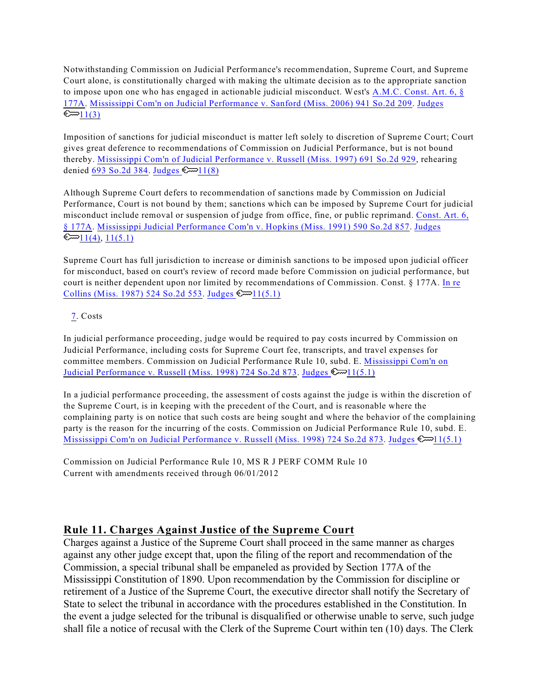Notwithstanding Commission on Judicial Performance's recommendation, Supreme Court, and Supreme Court alone, is constitutionally charged with making the ultimate decision as to the appropriate sanction to impose upon one who has engaged in actionable judicial misconduct. West's [A.M.C. Const. Art. 6, §](http://www.westlaw.com/Find/Default.wl?rs=dfa1.0&vr=2.0&DB=1000934&DocName=MSCNART6S177A&FindType=L) [177A](http://www.westlaw.com/Find/Default.wl?rs=dfa1.0&vr=2.0&DB=1000934&DocName=MSCNART6S177A&FindType=L). [Mississippi Com'n on Judicial Performance v. Sanford \(Miss. 2006\) 941 So.2d 209](http://www.westlaw.com/Find/Default.wl?rs=dfa1.0&vr=2.0&DB=0000735&FindType=Y&SerialNum=2010519785). [Judges](http://www.westlaw.com/KeyNumber/Default.wl?rs=dfa1.0&vr=2.0&CMD=KEY&DocName=227k11%283%29)  $\mathbb{C}$   $1(3)$ 

Imposition of sanctions for judicial misconduct is matter left solely to discretion of Supreme Court; Court gives great deference to recommendations of Commission on Judicial Performance, but is not bound thereby. [Mississippi Com'n of Judicial Performance v. Russell \(Miss. 1997\) 691 So.2d 929](http://www.westlaw.com/Find/Default.wl?rs=dfa1.0&vr=2.0&DB=0000735&FindType=Y&SerialNum=1997047496), rehearing denied  $\overline{693}$  So.2d 384. Judges  $\mathbb{C}$  11(8)

Although Supreme Court defers to recommendation of sanctions made by Commission on Judicial Performance, Court is not bound by them; sanctions which can be imposed by Supreme Court for judicial misconduct include removal or suspension of judge from office, fine, or public reprimand. [Const. Art. 6,](http://www.westlaw.com/Find/Default.wl?rs=dfa1.0&vr=2.0&DB=1000934&DocName=MSCNART6S177A&FindType=L) [§ 177A](http://www.westlaw.com/Find/Default.wl?rs=dfa1.0&vr=2.0&DB=1000934&DocName=MSCNART6S177A&FindType=L). [Mississippi Judicial Performance Com'n v. Hopkins \(Miss. 1991\) 590 So.2d 857](http://www.westlaw.com/Find/Default.wl?rs=dfa1.0&vr=2.0&DB=0000735&FindType=Y&SerialNum=1991125040). [Judges](http://www.westlaw.com/KeyNumber/Default.wl?rs=dfa1.0&vr=2.0&CMD=KEY&DocName=227k11%284%29)  $\mathbb{C}$  [11\(4\)](http://www.westlaw.com/KeyNumber/Default.wl?rs=dfa1.0&vr=2.0&CMD=KEY&DocName=227k11%284%29), [11\(5.1\)](http://www.westlaw.com/KeyNumber/Default.wl?rs=dfa1.0&vr=2.0&CMD=KEY&DocName=227k11%285.1%29)

Supreme Court has full jurisdiction to increase or diminish sanctions to be imposed upon judicial officer for misconduct, based on court's review of record made before Commission on judicial performance, but court is neither dependent upon nor limited by recommendations of Commission. Const. § 177A. [In re](http://www.westlaw.com/Find/Default.wl?rs=dfa1.0&vr=2.0&DB=0000735&FindType=Y&SerialNum=1987150945) [Collins \(Miss. 1987\) 524 So.2d 553](http://www.westlaw.com/Find/Default.wl?rs=dfa1.0&vr=2.0&DB=0000735&FindType=Y&SerialNum=1987150945). Judges  $\mathbb{C}$  11(5.1)

## [7](#page-14-7). Costs

<span id="page-17-0"></span>In judicial performance proceeding, judge would be required to pay costs incurred by Commission on Judicial Performance, including costs for Supreme Court fee, transcripts, and travel expenses for committee members. Commission on Judicial Performance Rule 10, subd. E. [Mississippi Com'n on](http://www.westlaw.com/Find/Default.wl?rs=dfa1.0&vr=2.0&DB=0000735&FindType=Y&SerialNum=1998245009) [Judicial Performance v. Russell \(Miss. 1998\) 724 So.2d 873](http://www.westlaw.com/Find/Default.wl?rs=dfa1.0&vr=2.0&DB=0000735&FindType=Y&SerialNum=1998245009). Judges  $\mathbb{R}$  11(5.1)

In a judicial performance proceeding, the assessment of costs against the judge is within the discretion of the Supreme Court, is in keeping with the precedent of the Court, and is reasonable where the complaining party is on notice that such costs are being sought and where the behavior of the complaining party is the reason for the incurring of the costs. Commission on Judicial Performance Rule 10, subd. E. [Mississippi Com'n on Judicial Performance v. Russell \(Miss. 1998\) 724 So.2d 873](http://www.westlaw.com/Find/Default.wl?rs=dfa1.0&vr=2.0&DB=0000735&FindType=Y&SerialNum=1998245009). Judges  $\mathbb{R}$  11(5.1)

Commission on Judicial Performance Rule 10, MS R J PERF COMM Rule 10 Current with amendments received through 06/01/2012

## **Rule 11. Charges Against Justice of the Supreme Court**

Charges against a Justice of the Supreme Court shall proceed in the same manner as charges against any other judge except that, upon the filing of the report and recommendation of the Commission, a special tribunal shall be empaneled as provided by Section 177A of the Mississippi Constitution of 1890. Upon recommendation by the Commission for discipline or retirement of a Justice of the Supreme Court, the executive director shall notify the Secretary of State to select the tribunal in accordance with the procedures established in the Constitution. In the event a judge selected for the tribunal is disqualified or otherwise unable to serve, such judge shall file a notice of recusal with the Clerk of the Supreme Court within ten (10) days. The Clerk